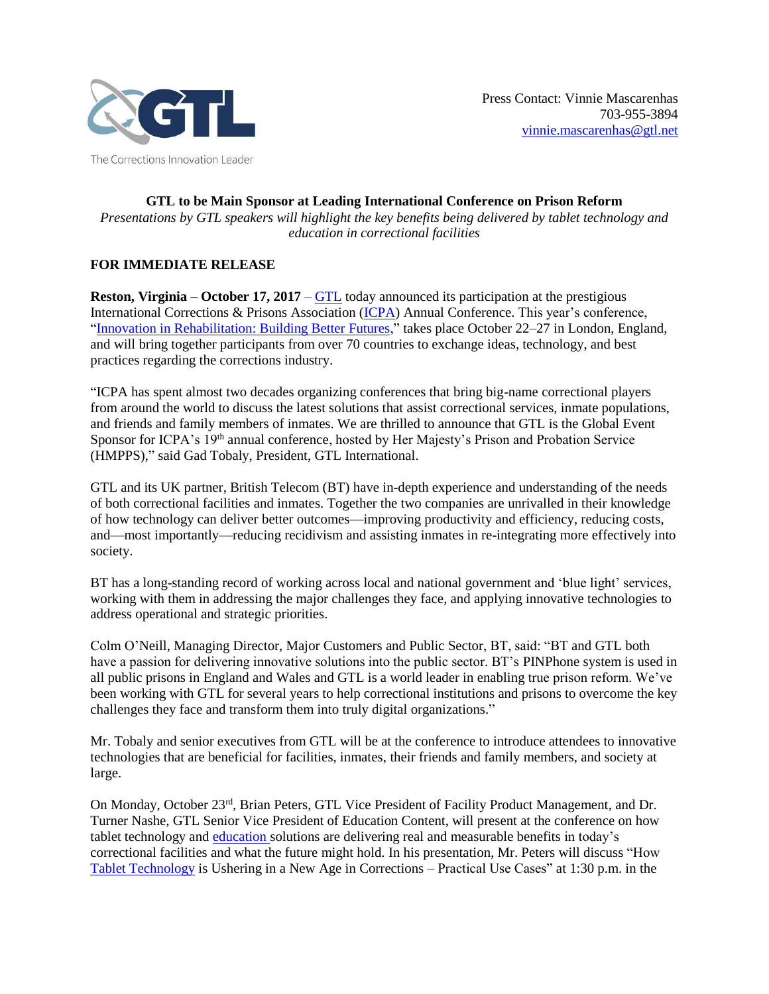

**GTL to be Main Sponsor at Leading International Conference on Prison Reform** *Presentations by GTL speakers will highlight the key benefits being delivered by tablet technology and education in correctional facilities*

## **FOR IMMEDIATE RELEASE**

**Reston, Virginia – October 17, 2017** – [GTL](http://www.gtl.net/) today announced its participation at the prestigious International Corrections & Prisons Association [\(ICPA\)](https://icpa.ca/) Annual Conference. This year's conference, ["Innovation in Rehabilitation: Building Better Futures,](https://icpa.ca/london2017/)" takes place October 22–27 in London, England, and will bring together participants from over 70 countries to exchange ideas, technology, and best practices regarding the corrections industry.

"ICPA has spent almost two decades organizing conferences that bring big-name correctional players from around the world to discuss the latest solutions that assist correctional services, inmate populations, and friends and family members of inmates. We are thrilled to announce that GTL is the Global Event Sponsor for ICPA's 19<sup>th</sup> annual conference, hosted by Her Majesty's Prison and Probation Service (HMPPS)," said Gad Tobaly, President, GTL International.

GTL and its UK partner, British Telecom (BT) have in-depth experience and understanding of the needs of both correctional facilities and inmates. Together the two companies are unrivalled in their knowledge of how technology can deliver better outcomes—improving productivity and efficiency, reducing costs, and—most importantly—reducing recidivism and assisting inmates in re-integrating more effectively into society.

BT has a long-standing record of working across local and national government and 'blue light' services, working with them in addressing the major challenges they face, and applying innovative technologies to address operational and strategic priorities.

Colm O'Neill, Managing Director, Major Customers and Public Sector, BT, said: "BT and GTL both have a passion for delivering innovative solutions into the public sector. BT's PINPhone system is used in all public prisons in England and Wales and GTL is a world leader in enabling true prison reform. We've been working with GTL for several years to help correctional institutions and prisons to overcome the key challenges they face and transform them into truly digital organizations."

Mr. Tobaly and senior executives from GTL will be at the conference to introduce attendees to innovative technologies that are beneficial for facilities, inmates, their friends and family members, and society at large.

On Monday, October 23<sup>rd</sup>, Brian Peters, GTL Vice President of Facility Product Management, and Dr. Turner Nashe, GTL Senior Vice President of Education Content, will present at the conference on how tablet technology and [education solutions](http://www.gtl.net/correctional-facility-services/inmate-services/education/) are delivering real and measurable benefits in today's correctional facilities and what the future might hold. In his presentation, Mr. Peters will discuss "How [Tablet Technology](http://www.gtl.net/correctional-facility-services/inmate-services/handheld-devices/) is Ushering in a New Age in Corrections – Practical Use Cases" at 1:30 p.m. in the